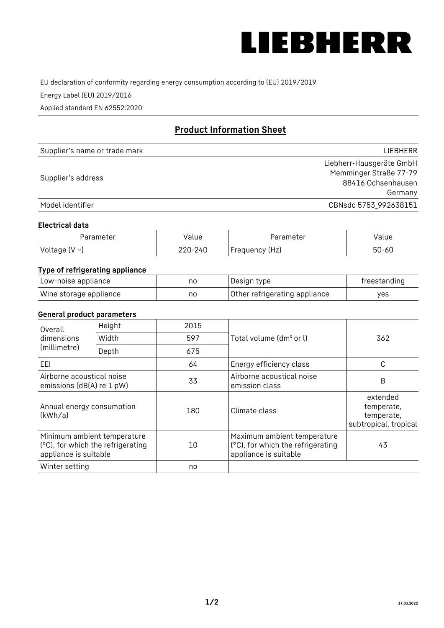

EU declaration of conformity regarding energy consumption according to (EU) 2019/2019

Energy Label (EU) 2019/2016

Applied standard EN 62552:2020

# **Product Information Sheet**

| Supplier's name or trade mark | LIEBHERR                 |
|-------------------------------|--------------------------|
|                               | Liebherr-Hausgeräte GmbH |
| Supplier's address            | Memminger Straße 77-79   |
|                               | 88416 Ochsenhausen       |
|                               | Germany                  |
| Model identifier              | CBNsdc 5753_992638151    |

#### **Electrical data**

| Parameter           | Value   | Parameter      | alue/     |
|---------------------|---------|----------------|-----------|
| Voltage (V $\sim$ ) | 220-240 | Frequency (Hz) | $50 - 60$ |

## **Type of refrigerating appliance**

| Low-noise appliance    | nc | Design type                   | freestanding |
|------------------------|----|-------------------------------|--------------|
| Wine storage appliance | nc | Other refrigerating appliance | ves          |

#### **General product parameters**

| Overall<br>dimensions<br>(millimetre)                  | Height                            | 2015 |                                                                                           | 362                                                           |
|--------------------------------------------------------|-----------------------------------|------|-------------------------------------------------------------------------------------------|---------------------------------------------------------------|
|                                                        | Width                             | 597  | Total volume (dm <sup>3</sup> or l)                                                       |                                                               |
|                                                        | Depth                             | 675  |                                                                                           |                                                               |
| EEL                                                    |                                   | 64   | Energy efficiency class                                                                   | C                                                             |
| Airborne acoustical noise<br>emissions (dB(A) re 1 pW) |                                   | 33   | Airborne acoustical noise<br>emission class                                               | B                                                             |
| Annual energy consumption<br>(kWh/a)                   |                                   | 180  | Climate class                                                                             | extended<br>temperate,<br>temperate,<br>subtropical, tropical |
| Minimum ambient temperature<br>appliance is suitable   | (°C), for which the refrigerating | 10   | Maximum ambient temperature<br>(°C), for which the refrigerating<br>appliance is suitable | 43                                                            |
| Winter setting                                         |                                   | no   |                                                                                           |                                                               |